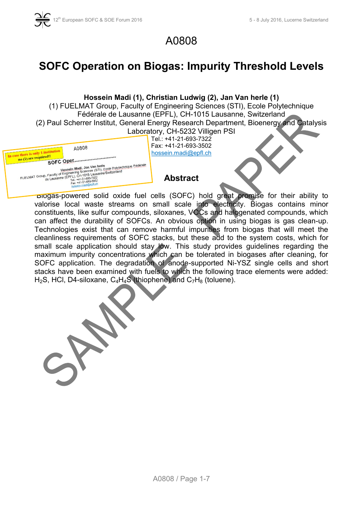

## A0808

# **SOFC Operation on Biogas: Impurity Threshold Levels**

#### **Hossein Madi (1), Christian Ludwig (2), Jan Van herle (1)**

(1) FUELMAT Group, Faculty of Engineering Sciences (STI), Ecole Polytechnique Fédérale de Lausanne (EPFL), CH-1015 Lausanne, Switzerland (2) Paul Scherrer Institut, General Energy Research Department, Bioenergy and Catalysis Laboratory, CH-5232 Villigen PSI

| A0808                                                                                                                                                                                   |
|-----------------------------------------------------------------------------------------------------------------------------------------------------------------------------------------|
| In case there is only I institution<br>no (1) are required!!                                                                                                                            |
| FUELMAT Group, Faculty of Engineering Sciences (STI), Ecole Polytechnique Fédérale<br>de Lausanne (EPFL), CH-1015 Lausanne/Switzerland<br>Tel.: +41-21-693-7322<br>Fax: +41-21-693-3502 |
| hossein madi@epfl.ch                                                                                                                                                                    |

Tel.: +41-21-693-7322 Fax: +41-21-693-3502 hossein.madi@epfl.ch

### **Abstract**

 Biogas-powered solid oxide fuel cells (SOFC) hold great promise for their ability to valorise local waste streams on small scale into electricity. Biogas contains minor constituents, like sulfur compounds, siloxanes, VOCs and halogenated compounds, which can affect the durability of SOFCs. An obvious option in using biogas is gas clean-up. Technologies exist that can remove harmful impurities from biogas that will meet the cleanliness requirements of SOFC stacks, but these add to the system costs, which for small scale application should stay low. This study provides guidelines regarding the maximum impurity concentrations which can be tolerated in biogases after cleaning, for SOFC application. The degradation of anode-supported Ni-YSZ single cells and short stacks have been examined with fuels to which the following trace elements were added: H<sub>2</sub>S, HCl, D4-siloxane,  $C_4H_4S$  (thiophene) and  $C_7H_8$  (toluene).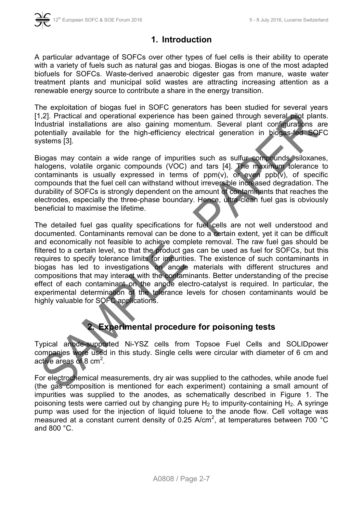

## **1. Introduction**

A particular advantage of SOFCs over other types of fuel cells is their ability to operate with a variety of fuels such as natural gas and biogas. Biogas is one of the most adapted biofuels for SOFCs. Waste-derived anaerobic digester gas from manure, waste water treatment plants and municipal solid wastes are attracting increasing attention as a renewable energy source to contribute a share in the energy transition.

The exploitation of biogas fuel in SOFC generators has been studied for several years [1,2]. Practical and operational experience has been gained through several pilot plants. Industrial installations are also gaining momentum. Several plant configurations are potentially available for the high-efficiency electrical generation in biogas-fed SOFC systems [3].

Biogas may contain a wide range of impurities such as sulfur compounds, siloxanes, halogens, volatile organic compounds (VOC) and tars [4]. The maximum tolerance to contaminants is usually expressed in terms of  $ppm(v)$ , or even  $ppb(v)$ , of specific compounds that the fuel cell can withstand without irreversible increased degradation. The durability of SOFCs is strongly dependent on the amount of contaminants that reaches the electrodes, especially the three-phase boundary. Hence, ultra-clean fuel gas is obviously beneficial to maximise the lifetime.

The detailed fuel gas quality specifications for fuel cells are not well understood and documented. Contaminants removal can be done to a certain extent, yet it can be difficult and economically not feasible to achieve complete removal. The raw fuel gas should be filtered to a certain level, so that the product gas can be used as fuel for SOFCs, but this requires to specify tolerance limits for impurities. The existence of such contaminants in biogas has led to investigations on anode materials with different structures and compositions that may interact with the contaminants. Better understanding of the precise effect of each contaminant on the anode electro-catalyst is required. In particular, the experimental determination of the tolerance levels for chosen contaminants would be highly valuable for SOFC applications.

## **2. Experimental procedure for poisoning tests**

Typical anode-supported Ni-YSZ cells from Topsoe Fuel Cells and SOLIDpower companies were used in this study. Single cells were circular with diameter of 6 cm and active areas of  $8 \text{ cm}^2$ .

For electrochemical measurements, dry air was supplied to the cathodes, while anode fuel (the gas composition is mentioned for each experiment) containing a small amount of impurities was supplied to the anodes, as schematically described in [Figure 1.](#page-2-0) The poisoning tests were carried out by changing pure  $H_2$  to impurity-containing  $H_2$ . A syringe pump was used for the injection of liquid toluene to the anode flow. Cell voltage was measured at a constant current density of 0.25 A/cm<sup>2</sup>, at temperatures between 700 °C and 800 °C.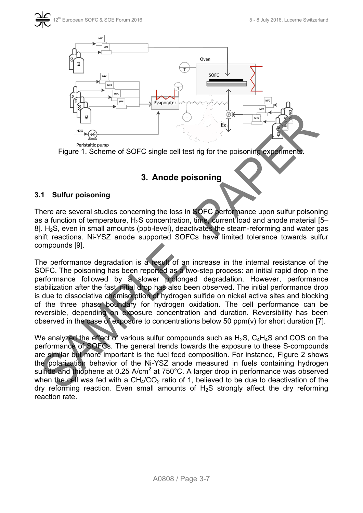

Peristaltic pump

<span id="page-2-0"></span>Figure 1. Scheme of SOFC single cell test rig for the poisoning experiments.

## **3. Anode poisoning**

#### **3.1 Sulfur poisoning**

There are several studies concerning the loss in SOFC performance upon sulfur poisoning as a function of temperature,  $H_2S$  concentration, time, current load and anode material [5– 8].  $H<sub>2</sub>S$ , even in small amounts (ppb-level), deactivates the steam-reforming and water gas shift reactions. Ni-YSZ anode supported SOFCs have limited tolerance towards sulfur compounds [9].

The performance degradation is a result of an increase in the internal resistance of the SOFC. The poisoning has been reported as a two-step process: an initial rapid drop in the performance followed by a slower prolonged degradation. However, performance stabilization after the fast initial drop has also been observed. The initial performance drop is due to dissociative chemisorption of hydrogen sulfide on nickel active sites and blocking of the three phase boundary for hydrogen oxidation. The cell performance can be reversible, depending on exposure concentration and duration. Reversibility has been observed in the case of exposure to concentrations below 50 ppm(v) for short duration [7].

We analyzed the effect of various sulfur compounds such as  $H_2S$ ,  $C_4H_4S$  and COS on the performance of SOFCs. The general trends towards the exposure to these S-compounds are similar but more important is the fuel feed composition. For instance, [Figure 2](#page-3-0) shows the polarization behavior of the Ni-YSZ anode measured in fuels containing hydrogen sulfide and thiophene at 0.25 A/cm<sup>2</sup> at 750°C. A larger drop in performance was observed when the cell was fed with a  $CH<sub>4</sub>/CO<sub>2</sub>$  ratio of 1, believed to be due to deactivation of the dry reforming reaction. Even small amounts of  $H_2S$  strongly affect the dry reforming reaction rate.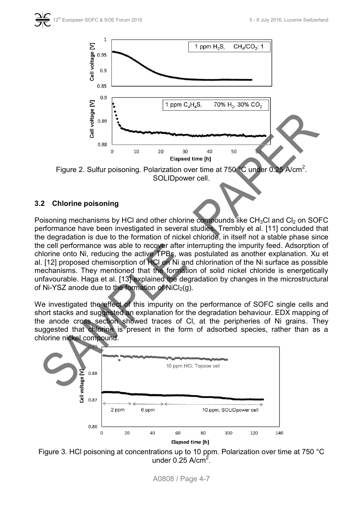

<span id="page-3-0"></span>Figure 2. Sulfur poisoning. Polarization over time at 750 °C under 0.25 A/cm<sup>2</sup>. SOLIDpower cell.

#### **3.2 Chlorine poisoning**

Poisoning mechanisms by HCl and other chlorine compounds like  $CH<sub>3</sub>Cl$  and  $Cl<sub>2</sub>$  on SOFC performance have been investigated in several studies. Trembly et al. [11] concluded that the degradation is due to the formation of nickel chloride, in itself not a stable phase since the cell performance was able to recover after interrupting the impurity feed. Adsorption of chlorine onto Ni, reducing the active TPBs, was postulated as another explanation. Xu et al. [12] proposed chemisorption of HCl on Ni and chlorination of the Ni surface as possible mechanisms. They mentioned that the formation of solid nickel chloride is energetically unfavourable. Haga et al. [13] explained the degradation by changes in the microstructural of Ni-YSZ anode due to the formation of  $NiCl<sub>2</sub>(q)$ .

We investigated the effect of this impurity on the performance of SOFC single cells and short stacks and suggested an explanation for the degradation behaviour. EDX mapping of the anode cross section showed traces of Cl, at the peripheries of Ni grains. They suggested that chlorine is present in the form of adsorbed species, rather than as a chlorine nickel compound.





A0808 / Page 4-7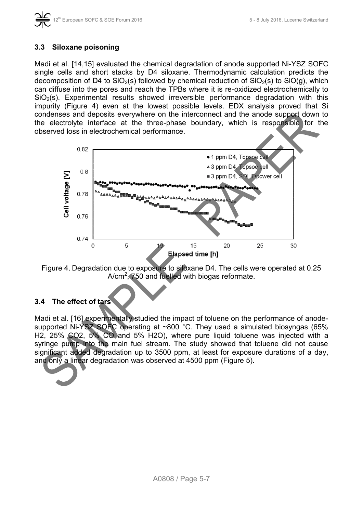#### **3.3 Siloxane poisoning**

Madi et al. [14,15] evaluated the chemical degradation of anode supported Ni-YSZ SOFC single cells and short stacks by D4 siloxane. Thermodynamic calculation predicts the decomposition of D4 to  $SiO<sub>2</sub>(s)$  followed by chemical reduction of  $SiO<sub>2</sub>(s)$  to  $SiO(q)$ , which can diffuse into the pores and reach the TPBs where it is re-oxidized electrochemically to  $SiO<sub>2</sub>(s)$ . Experimental results showed irreversible performance degradation with this impurity [\(Figure 4\)](#page-4-0) even at the lowest possible levels. EDX analysis proved that Si condenses and deposits everywhere on the interconnect and the anode support down to the electrolyte interface at the three-phase boundary, which is responsible for the observed loss in electrochemical performance.



<span id="page-4-0"></span>Figure 4. Degradation due to exposure to siloxane D4. The cells were operated at 0.25 A/cm<sup>2</sup>, 750 and fuelled with biogas reformate.

### **3.4 The effect of tars**

Madi et al. [16] experimentally studied the impact of toluene on the performance of anodesupported Ni-YSZ SOFC operating at ~800 °C. They used a simulated biosyngas (65% H2, 25% CO2, 5% CO and 5% H2O), where pure liquid toluene was injected with a syringe pump into the main fuel stream. The study showed that toluene did not cause significant added degradation up to 3500 ppm, at least for exposure durations of a day, and only a linear degradation was observed at 4500 ppm [\(Figure 5\)](#page-5-0).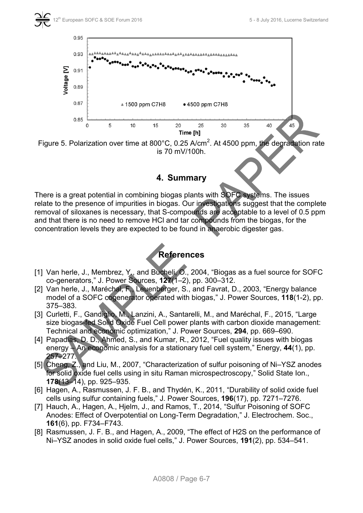

<span id="page-5-0"></span>Figure 5. Polarization over time at 800°C, 0.25 A/cm<sup>2</sup>. At 4500 ppm, the degradation rate is 70 mV/100h.

### **4. Summary**

There is a great potential in combining biogas plants with SOFC systems. The issues relate to the presence of impurities in biogas. Our investigations suggest that the complete removal of siloxanes is necessary, that S-compounds are acceptable to a level of 0.5 ppm and that there is no need to remove HCl and tar compounds from the biogas, for the concentration levels they are expected to be found in anaerobic digester gas.



- [1] Van herle, J., Membrez, Y., and Bucheli, O., 2004, "Biogas as a fuel source for SOFC co-generators," J. Power Sources, **127**(1–2), pp. 300–312.
- [2] Van herle, J., Maréchal, F., Leuenberger, S., and Favrat, D., 2003, "Energy balance model of a SOFC cogenerator operated with biogas," J. Power Sources, **118**(1-2), pp. 375–383.
- [3] Curletti, F., Gandiglio, M., Lanzini, A., Santarelli, M., and Maréchal, F., 2015, "Large size biogas-fed Solid Oxide Fuel Cell power plants with carbon dioxide management: Technical and economic optimization," J. Power Sources, **294**, pp. 669–690.
- [4] Papadias, D. D., Ahmed, S., and Kumar, R., 2012, "Fuel quality issues with biogas energy – An economic analysis for a stationary fuel cell system," Energy, **44**(1), pp. 257–277.
- [5] Cheng, Z., and Liu, M., 2007, "Characterization of sulfur poisoning of Ni–YSZ anodes for solid oxide fuel cells using in situ Raman microspectroscopy," Solid State Ion., **178**(13–14), pp. 925–935.
- [6] Hagen, A., Rasmussen, J. F. B., and Thydén, K., 2011, "Durability of solid oxide fuel cells using sulfur containing fuels," J. Power Sources, **196**(17), pp. 7271–7276.
- [7] Hauch, A., Hagen, A., Hjelm, J., and Ramos, T., 2014, "Sulfur Poisoning of SOFC Anodes: Effect of Overpotential on Long-Term Degradation," J. Electrochem. Soc., **161**(6), pp. F734–F743.
- [8] Rasmussen, J. F. B., and Hagen, A., 2009, "The effect of H2S on the performance of Ni–YSZ anodes in solid oxide fuel cells," J. Power Sources, **191**(2), pp. 534–541.